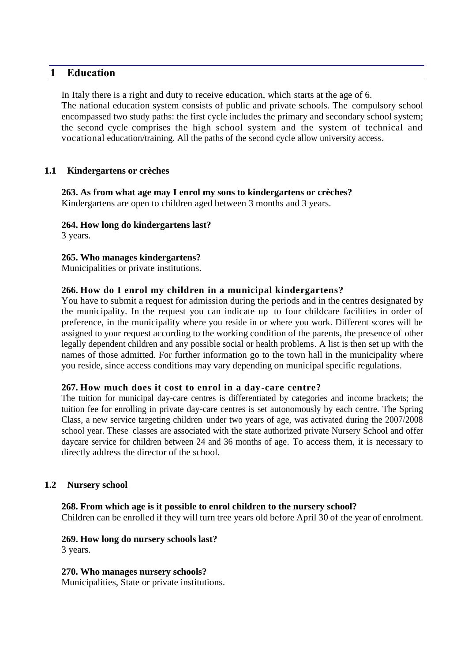# **1 Education**

In Italy there is a right and duty to receive education, which starts at the age of 6. The national education system consists of public and private schools. The compulsory school encompassed two study paths: the first cycle includes the primary and secondary school system; the second cycle comprises the high school system and the system of technical and vocational education/training. All the paths of the second cycle allow university access.

#### **1.1 Kindergartens or crèches**

**263. As from what age may I enrol my sons to kindergartens or crèches?**  Kindergartens are open to children aged between 3 months and 3 years.

**264. How long do kindergartens last?**

3 years.

#### **265. Who manages kindergartens?**

Municipalities or private institutions.

#### **266. How do I enrol my children in a municipal kindergartens?**

You have to submit a request for admission during the periods and in the centres designated by the municipality. In the request you can indicate up to four childcare facilities in order of preference, in the municipality where you reside in or where you work. Different scores will be assigned to your request according to the working condition of the parents, the presence of other legally dependent children and any possible social or health problems. A list is then set up with the names of those admitted. For further information go to the town hall in the municipality where you reside, since access conditions may vary depending on municipal specific regulations.

#### **267. How much does it cost to enrol in a day-care centre?**

The tuition for municipal day-care centres is differentiated by categories and income brackets; the tuition fee for enrolling in private day-care centres is set autonomously by each centre. The Spring Class, a new service targeting children under two years of age, was activated during the 2007/2008 school year. These classes are associated with the state authorized private Nursery School and offer daycare service for children between 24 and 36 months of age. To access them, it is necessary to directly address the director of the school.

#### **1.2 Nursery school**

#### **268. From which age is it possible to enrol children to the nursery school?**

Children can be enrolled if they will turn tree years old before April 30 of the year of enrolment.

# **269. How long do nursery schools last?**

3 years.

**270. Who manages nursery schools?** Municipalities, State or private institutions.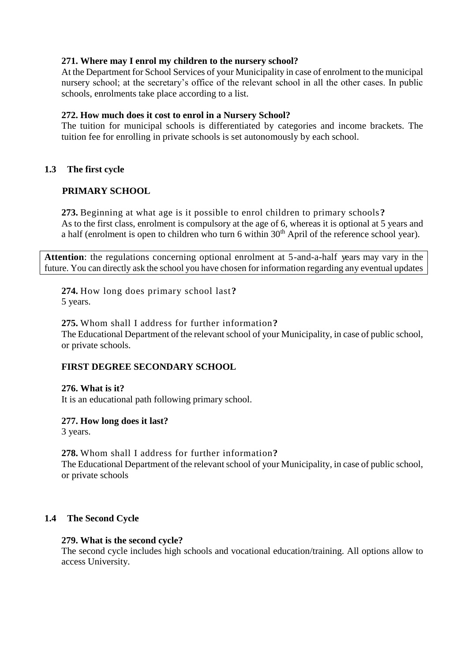### **271. Where may I enrol my children to the nursery school?**

At the Department for School Services of your Municipality in case of enrolment to the municipal nursery school; at the secretary's office of the relevant school in all the other cases. In public schools, enrolments take place according to a list.

#### **272. How much does it cost to enrol in a Nursery School?**

The tuition for municipal schools is differentiated by categories and income brackets. The tuition fee for enrolling in private schools is set autonomously by each school.

# **1.3 The first cycle**

#### **PRIMARY SCHOOL**

**273.** Beginning at what age is it possible to enrol children to primary schools**?** As to the first class, enrolment is compulsory at the age of 6, whereas it is optional at 5 years and a half (enrolment is open to children who turn 6 within  $30<sup>th</sup>$  April of the reference school year).

**Attention**: the regulations concerning optional enrolment at 5-and-a-half years may vary in the future. You can directly ask the school you have chosen for information regarding any eventual updates

**274.** How long does primary school last**?** 5 years.

**275.** Whom shall I address for further information**?** The Educational Department of the relevant school of your Municipality, in case of public school, or private schools.

# **FIRST DEGREE SECONDARY SCHOOL**

**276. What is it?**  It is an educational path following primary school.

#### **277. How long does it last?**

3 years.

**278.** Whom shall I address for further information**?** The Educational Department of the relevant school of your Municipality, in case of public school, or private schools

#### **1.4 The Second Cycle**

#### **279. What is the second cycle?**

The second cycle includes high schools and vocational education/training. All options allow to access University.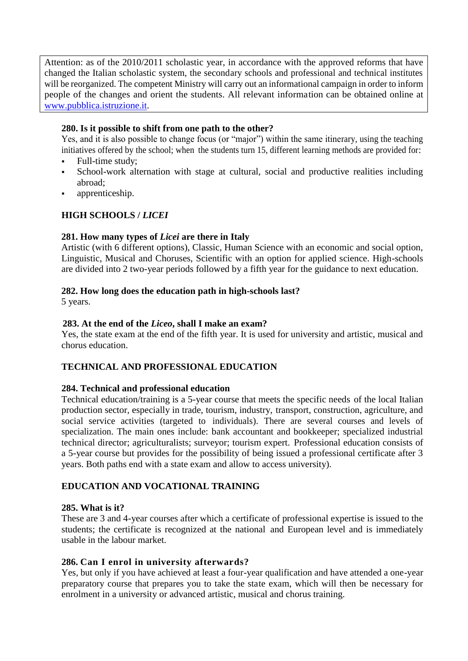Attention: as of the 2010/2011 scholastic year, in accordance with the approved reforms that have changed the Italian scholastic system, the secondary schools and professional and technical institutes will be reorganized. The competent Ministry will carry out an informational campaign in order to inform people of the changes and orient the students. All relevant information can be obtained online at [www.pubblica.istruzione.it.](http://www.pubblica.istruzione.it/)

# **280. Is it possible to shift from one path to the other?**

Yes, and it is also possible to change focus (or "major") within the same itinerary, using the teaching initiatives offered by the school; when the students turn 15, different learning methods are provided for:

- Full-time study;
- School-work alternation with stage at cultural, social and productive realities including abroad;
- apprenticeship.

# **HIGH SCHOOLS /** *LICEI*

#### **281. How many types of** *Licei* **are there in Italy**

Artistic (with 6 different options), Classic, Human Science with an economic and social option, Linguistic, Musical and Choruses, Scientific with an option for applied science. High-schools are divided into 2 two-year periods followed by a fifth year for the guidance to next education.

#### **282. How long does the education path in high-schools last?**

5 years.

#### **283. At the end of the** *Liceo***, shall I make an exam?**

Yes, the state exam at the end of the fifth year. It is used for university and artistic, musical and chorus education.

# **TECHNICAL AND PROFESSIONAL EDUCATION**

#### **284. Technical and professional education**

Technical education/training is a 5-year course that meets the specific needs of the local Italian production sector, especially in trade, tourism, industry, transport, construction, agriculture, and social service activities (targeted to individuals). There are several courses and levels of specialization. The main ones include: bank accountant and bookkeeper; specialized industrial technical director; agriculturalists; surveyor; tourism expert. Professional education consists of a 5-year course but provides for the possibility of being issued a professional certificate after 3 years. Both paths end with a state exam and allow to access university).

# **EDUCATION AND VOCATIONAL TRAINING**

#### **285. What is it?**

These are 3 and 4-year courses after which a certificate of professional expertise is issued to the students; the certificate is recognized at the national and European level and is immediately usable in the labour market.

#### **286. Can I enrol in university afterwards?**

Yes, but only if you have achieved at least a four-year qualification and have attended a one-year preparatory course that prepares you to take the state exam, which will then be necessary for enrolment in a university or advanced artistic, musical and chorus training.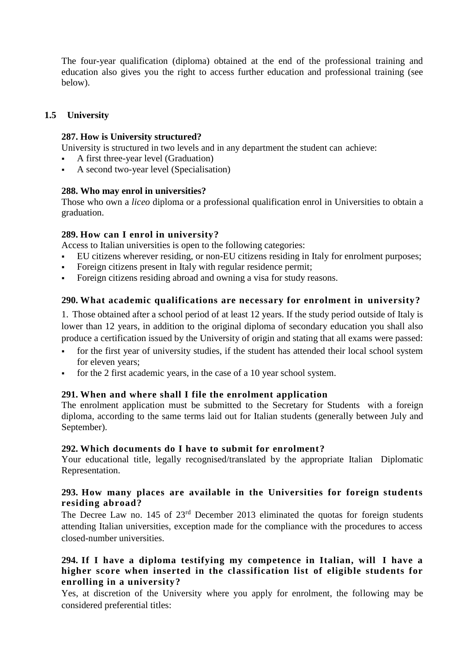The four-year qualification (diploma) obtained at the end of the professional training and education also gives you the right to access further education and professional training (see below).

# **1.5 University**

#### **287. How is University structured?**

University is structured in two levels and in any department the student can achieve:

- A first three-year level (Graduation)
- A second two-year level (Specialisation)

#### **288. Who may enrol in universities?**

Those who own a *liceo* diploma or a professional qualification enrol in Universities to obtain a graduation.

#### **289. How can I enrol in university?**

Access to Italian universities is open to the following categories:

- EU citizens wherever residing, or non-EU citizens residing in Italy for enrolment purposes;
- Foreign citizens present in Italy with regular residence permit;
- Foreign citizens residing abroad and owning a visa for study reasons.

# **290. What academic qualifications are necessary for enrolment in university?**

1. Those obtained after a school period of at least 12 years. If the study period outside of Italy is lower than 12 years, in addition to the original diploma of secondary education you shall also produce a certification issued by the University of origin and stating that all exams were passed:

- for the first year of university studies, if the student has attended their local school system for eleven years;
- for the 2 first academic years, in the case of a 10 year school system.

# **291. When and where shall I file the enrolment application**

The enrolment application must be submitted to the Secretary for Students with a foreign diploma, according to the same terms laid out for Italian students (generally between July and September).

#### **292. Which documents do I have to submit for enrolment?**

Your educational title, legally recognised/translated by the appropriate Italian Diplomatic Representation.

#### **293. How many places are available in the Universities for foreign students residing abroad?**

The Decree Law no.  $145$  of  $23<sup>rd</sup>$  December 2013 eliminated the quotas for foreign students attending Italian universities, exception made for the compliance with the procedures to access closed-number universities.

# **294. If I have a diploma testifying my competence in Italian, will I have a higher score when inserted in the classification list of eligible students for enrolling in a university?**

Yes, at discretion of the University where you apply for enrolment, the following may be considered preferential titles: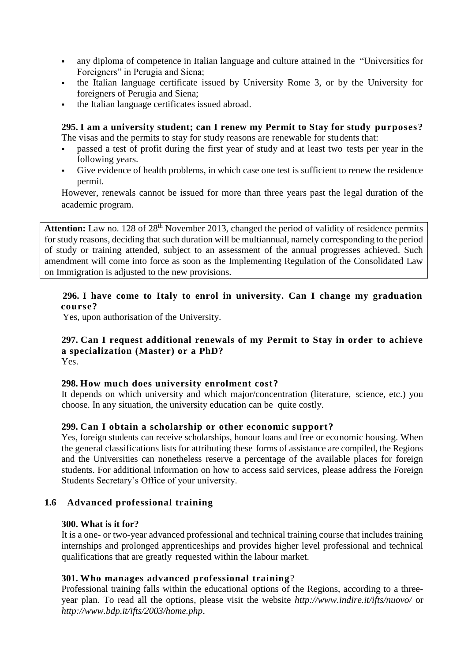- any diploma of competence in Italian language and culture attained in the "Universities for Foreigners" in Perugia and Siena;
- the Italian language certificate issued by University Rome 3, or by the University for foreigners of Perugia and Siena;
- the Italian language certificates issued abroad.

**295. I am a university student; can I renew my Permit to Stay for study purposes?** The visas and the permits to stay for study reasons are renewable for students that:

- passed a test of profit during the first year of study and at least two tests per year in the following years.
- Give evidence of health problems, in which case one test is sufficient to renew the residence permit.

However, renewals cannot be issued for more than three years past the legal duration of the academic program.

Attention: Law no. 128 of 28<sup>th</sup> November 2013, changed the period of validity of residence permits for study reasons, deciding that such duration will be multiannual, namely corresponding to the period of study or training attended, subject to an assessment of the annual progresses achieved. Such amendment will come into force as soon as the Implementing Regulation of the Consolidated Law on Immigration is adjusted to the new provisions.

#### **296. I have come to Italy to enrol in university. Can I change my graduation course?**

Yes, upon authorisation of the University.

# **297. Can I request additional renewals of my Permit to Stay in order to achieve a specialization (Master) or a PhD?**

Yes.

# **298. How much does university enrolment cost?**

It depends on which university and which major/concentration (literature, science, etc.) you choose. In any situation, the university education can be quite costly.

# **299. Can I obtain a scholarship or other economic support?**

Yes, foreign students can receive scholarships, honour loans and free or economic housing. When the general classifications lists for attributing these forms of assistance are compiled, the Regions and the Universities can nonetheless reserve a percentage of the available places for foreign students. For additional information on how to access said services, please address the Foreign Students Secretary's Office of your university.

# **1.6 Advanced professional training**

#### **300. What is it for?**

It is a one- or two-year advanced professional and technical training course that includes training internships and prolonged apprenticeships and provides higher level professional and technical qualifications that are greatly requested within the labour market.

# **301. Who manages advanced professional training**?

Professional training falls within the educational options of the Regions, according to a threeyear plan. To read all the options, please visit the website *http://www.indire.it/ifts/nuovo/* or *http://www.bdp.it/ifts/2003/home.php*.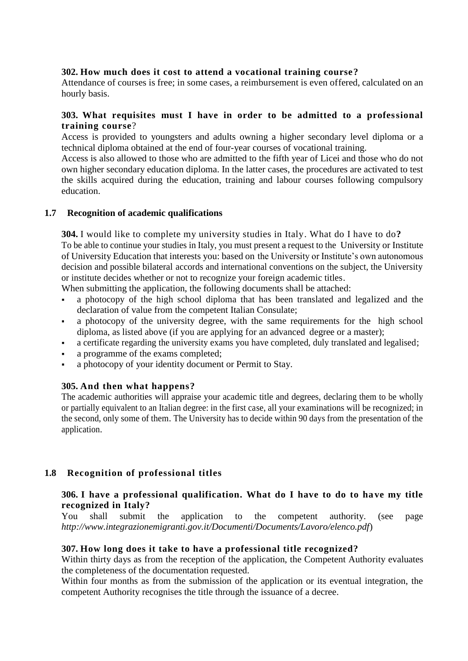### **302. How much does it cost to attend a vocational training course?**

Attendance of courses is free; in some cases, a reimbursement is even offered, calculated on an hourly basis.

### **303. What requisites must I have in order to be admitted to a professional training course**?

Access is provided to youngsters and adults owning a higher secondary level diploma or a technical diploma obtained at the end of four-year courses of vocational training.

Access is also allowed to those who are admitted to the fifth year of Licei and those who do not own higher secondary education diploma. In the latter cases, the procedures are activated to test the skills acquired during the education, training and labour courses following compulsory education.

#### **1.7 Recognition of academic qualifications**

**304.** I would like to complete my university studies in Italy. What do I have to do**?** To be able to continue your studies in Italy, you must present a request to the University or Institute of University Education that interests you: based on the University or Institute's own autonomous decision and possible bilateral accords and international conventions on the subject, the University or institute decides whether or not to recognize your foreign academic titles.

When submitting the application, the following documents shall be attached:

- a photocopy of the high school diploma that has been translated and legalized and the declaration of value from the competent Italian Consulate;
- a photocopy of the university degree, with the same requirements for the high school diploma, as listed above (if you are applying for an advanced degree or a master);
- a certificate regarding the university exams you have completed, duly translated and legalised;
- a programme of the exams completed;
- a photocopy of your identity document or Permit to Stay.

#### **305. And then what happens?**

The academic authorities will appraise your academic title and degrees, declaring them to be wholly or partially equivalent to an Italian degree: in the first case, all your examinations will be recognized; in the second, only some of them. The University has to decide within 90 days from the presentation of the application.

# **1.8 Recognition of professional titles**

#### **306. I have a professional qualification. What do I have to do to ha ve my title recognized in Italy?**

You shall submit the application to the competent authority. (see page *http://www.integrazionemigranti.gov.it/Documenti/Documents/Lavoro/elenco.pdf*)

#### **307. How long does it take to have a professional title recognized?**

Within thirty days as from the reception of the application, the Competent Authority evaluates the completeness of the documentation requested.

Within four months as from the submission of the application or its eventual integration, the competent Authority recognises the title through the issuance of a decree.